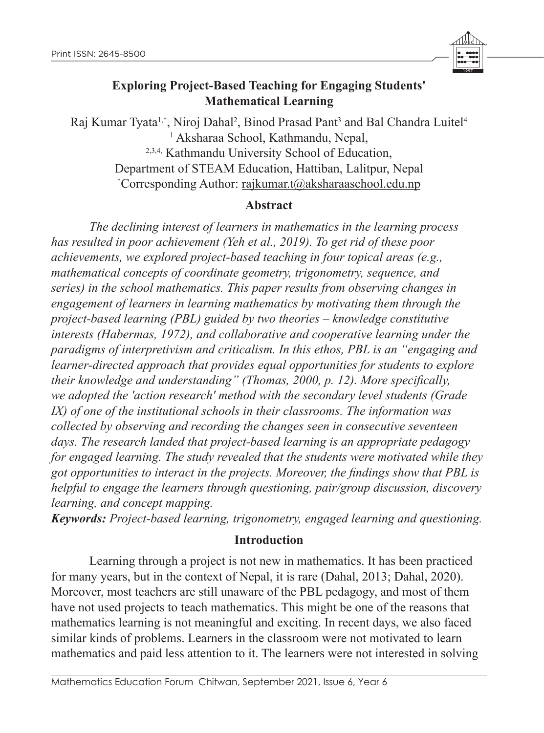

# **Exploring Project-Based Teaching for Engaging Students' Mathematical Learning**

Raj Kumar Tyata<sup>1,</sup>\*, Niroj Dahal<sup>2</sup>, Binod Prasad Pant<sup>3</sup> and Bal Chandra Luitel<sup>4</sup> 1 Aksharaa School, Kathmandu, Nepal, 2,3,4, Kathmandu University School of Education, Department of STEAM Education, Hattiban, Lalitpur, Nepal \* Corresponding Author: rajkumar.t@aksharaaschool.edu.np

## **Abstract**

*The declining interest of learners in mathematics in the learning process has resulted in poor achievement (Yeh et al., 2019). To get rid of these poor achievements, we explored project-based teaching in four topical areas (e.g., mathematical concepts of coordinate geometry, trigonometry, sequence, and series) in the school mathematics. This paper results from observing changes in engagement of learners in learning mathematics by motivating them through the project-based learning (PBL) guided by two theories – knowledge constitutive interests (Habermas, 1972), and collaborative and cooperative learning under the paradigms of interpretivism and criticalism. In this ethos, PBL is an "engaging and learner-directed approach that provides equal opportunities for students to explore their knowledge and understanding" (Thomas, 2000, p. 12). More specifically, we adopted the 'action research' method with the secondary level students (Grade IX) of one of the institutional schools in their classrooms. The information was collected by observing and recording the changes seen in consecutive seventeen days. The research landed that project-based learning is an appropriate pedagogy for engaged learning. The study revealed that the students were motivated while they got opportunities to interact in the projects. Moreover, the findings show that PBL is helpful to engage the learners through questioning, pair/group discussion, discovery learning, and concept mapping.*

*Keywords: Project-based learning, trigonometry, engaged learning and questioning.*

## **Introduction**

Learning through a project is not new in mathematics. It has been practiced for many years, but in the context of Nepal, it is rare (Dahal, 2013; Dahal, 2020). Moreover, most teachers are still unaware of the PBL pedagogy, and most of them have not used projects to teach mathematics. This might be one of the reasons that mathematics learning is not meaningful and exciting. In recent days, we also faced similar kinds of problems. Learners in the classroom were not motivated to learn mathematics and paid less attention to it. The learners were not interested in solving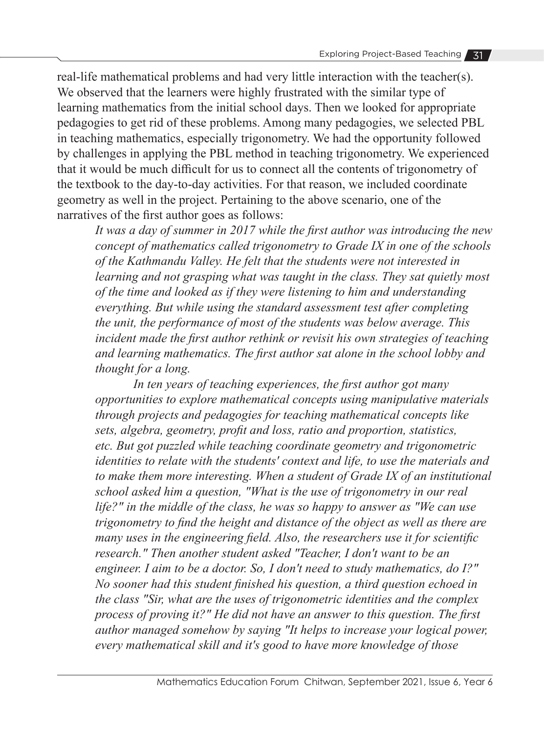real-life mathematical problems and had very little interaction with the teacher(s). We observed that the learners were highly frustrated with the similar type of learning mathematics from the initial school days. Then we looked for appropriate pedagogies to get rid of these problems. Among many pedagogies, we selected PBL in teaching mathematics, especially trigonometry. We had the opportunity followed by challenges in applying the PBL method in teaching trigonometry. We experienced that it would be much difficult for us to connect all the contents of trigonometry of the textbook to the day-to-day activities. For that reason, we included coordinate geometry as well in the project. Pertaining to the above scenario, one of the narratives of the first author goes as follows:

*It was a day of summer in 2017 while the first author was introducing the new concept of mathematics called trigonometry to Grade IX in one of the schools of the Kathmandu Valley. He felt that the students were not interested in learning and not grasping what was taught in the class. They sat quietly most of the time and looked as if they were listening to him and understanding everything. But while using the standard assessment test after completing the unit, the performance of most of the students was below average. This incident made the first author rethink or revisit his own strategies of teaching and learning mathematics. The first author sat alone in the school lobby and thought for a long.*

*In ten years of teaching experiences, the first author got many opportunities to explore mathematical concepts using manipulative materials through projects and pedagogies for teaching mathematical concepts like sets, algebra, geometry, profit and loss, ratio and proportion, statistics, etc. But got puzzled while teaching coordinate geometry and trigonometric identities to relate with the students' context and life, to use the materials and to make them more interesting. When a student of Grade IX of an institutional school asked him a question, "What is the use of trigonometry in our real life?" in the middle of the class, he was so happy to answer as "We can use trigonometry to find the height and distance of the object as well as there are many uses in the engineering field. Also, the researchers use it for scientific research." Then another student asked "Teacher, I don't want to be an engineer. I aim to be a doctor. So, I don't need to study mathematics, do I?" No sooner had this student finished his question, a third question echoed in the class "Sir, what are the uses of trigonometric identities and the complex process of proving it?" He did not have an answer to this question. The first author managed somehow by saying "It helps to increase your logical power, every mathematical skill and it's good to have more knowledge of those*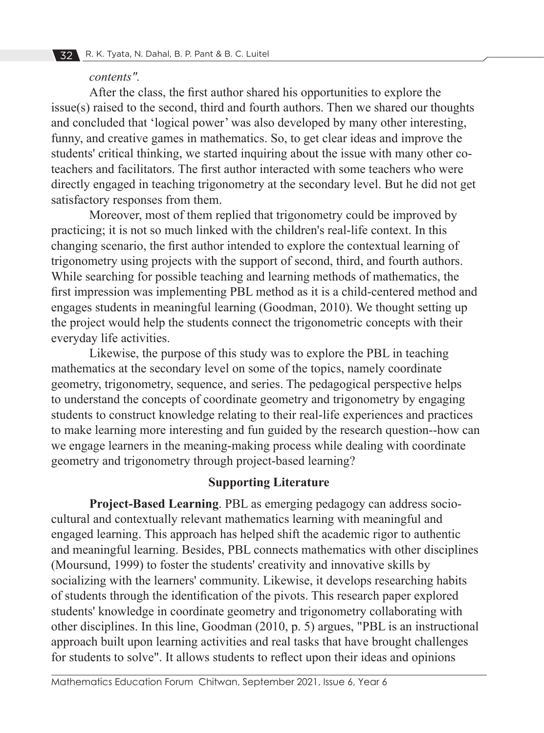#### *contents".*

After the class, the first author shared his opportunities to explore the issue(s) raised to the second, third and fourth authors. Then we shared our thoughts and concluded that 'logical power' was also developed by many other interesting, funny, and creative games in mathematics. So, to get clear ideas and improve the students' critical thinking, we started inquiring about the issue with many other coteachers and facilitators. The first author interacted with some teachers who were directly engaged in teaching trigonometry at the secondary level. But he did not get satisfactory responses from them.

Moreover, most of them replied that trigonometry could be improved by practicing; it is not so much linked with the children's real-life context. In this changing scenario, the first author intended to explore the contextual learning of trigonometry using projects with the support of second, third, and fourth authors. While searching for possible teaching and learning methods of mathematics, the first impression was implementing PBL method as it is a child-centered method and engages students in meaningful learning (Goodman, 2010). We thought setting up the project would help the students connect the trigonometric concepts with their everyday life activities.

Likewise, the purpose of this study was to explore the PBL in teaching mathematics at the secondary level on some of the topics, namely coordinate geometry, trigonometry, sequence, and series. The pedagogical perspective helps to understand the concepts of coordinate geometry and trigonometry by engaging students to construct knowledge relating to their real-life experiences and practices to make learning more interesting and fun guided by the research question--how can we engage learners in the meaning-making process while dealing with coordinate geometry and trigonometry through project-based learning?

## **Supporting Literature**

**Project-Based Learning**. PBL as emerging pedagogy can address sociocultural and contextually relevant mathematics learning with meaningful and engaged learning. This approach has helped shift the academic rigor to authentic and meaningful learning. Besides, PBL connects mathematics with other disciplines (Moursund, 1999) to foster the students' creativity and innovative skills by socializing with the learners' community. Likewise, it develops researching habits of students through the identification of the pivots. This research paper explored students' knowledge in coordinate geometry and trigonometry collaborating with other disciplines. In this line, Goodman (2010, p. 5) argues, "PBL is an instructional approach built upon learning activities and real tasks that have brought challenges for students to solve". It allows students to reflect upon their ideas and opinions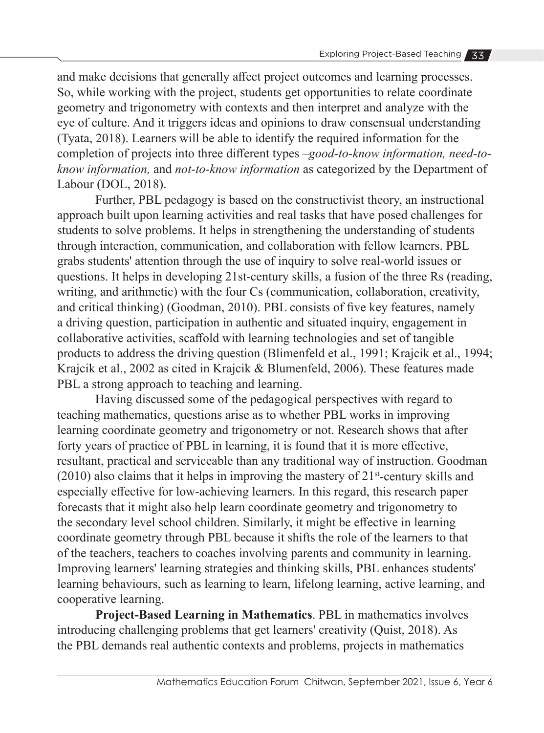and make decisions that generally affect project outcomes and learning processes. So, while working with the project, students get opportunities to relate coordinate geometry and trigonometry with contexts and then interpret and analyze with the eye of culture. And it triggers ideas and opinions to draw consensual understanding (Tyata, 2018). Learners will be able to identify the required information for the completion of projects into three different types –*good-to-know information, need-toknow information,* and *not-to-know information* as categorized by the Department of Labour (DOL, 2018).

Further, PBL pedagogy is based on the constructivist theory, an instructional approach built upon learning activities and real tasks that have posed challenges for students to solve problems. It helps in strengthening the understanding of students through interaction, communication, and collaboration with fellow learners. PBL grabs students' attention through the use of inquiry to solve real-world issues or questions. It helps in developing 21st-century skills, a fusion of the three Rs (reading, writing, and arithmetic) with the four Cs (communication, collaboration, creativity, and critical thinking) (Goodman, 2010). PBL consists of five key features, namely a driving question, participation in authentic and situated inquiry, engagement in collaborative activities, scaffold with learning technologies and set of tangible products to address the driving question (Blimenfeld et al., 1991; Krajcik et al., 1994; Krajcik et al., 2002 as cited in Krajcik & Blumenfeld, 2006). These features made PBL a strong approach to teaching and learning.

Having discussed some of the pedagogical perspectives with regard to teaching mathematics, questions arise as to whether PBL works in improving learning coordinate geometry and trigonometry or not. Research shows that after forty years of practice of PBL in learning, it is found that it is more effective, resultant, practical and serviceable than any traditional way of instruction. Goodman  $(2010)$  also claims that it helps in improving the mastery of  $21$ <sup>st</sup>-century skills and especially effective for low-achieving learners. In this regard, this research paper forecasts that it might also help learn coordinate geometry and trigonometry to the secondary level school children. Similarly, it might be effective in learning coordinate geometry through PBL because it shifts the role of the learners to that of the teachers, teachers to coaches involving parents and community in learning. Improving learners' learning strategies and thinking skills, PBL enhances students' learning behaviours, such as learning to learn, lifelong learning, active learning, and cooperative learning.

**Project-Based Learning in Mathematics**. PBL in mathematics involves introducing challenging problems that get learners' creativity (Quist, 2018). As the PBL demands real authentic contexts and problems, projects in mathematics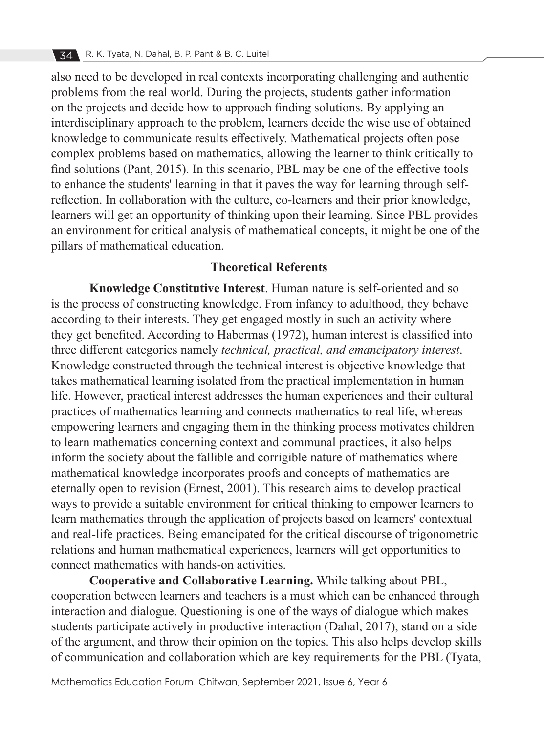also need to be developed in real contexts incorporating challenging and authentic problems from the real world. During the projects, students gather information on the projects and decide how to approach finding solutions. By applying an interdisciplinary approach to the problem, learners decide the wise use of obtained knowledge to communicate results effectively. Mathematical projects often pose complex problems based on mathematics, allowing the learner to think critically to find solutions (Pant, 2015). In this scenario, PBL may be one of the effective tools to enhance the students' learning in that it paves the way for learning through selfreflection. In collaboration with the culture, co-learners and their prior knowledge, learners will get an opportunity of thinking upon their learning. Since PBL provides an environment for critical analysis of mathematical concepts, it might be one of the pillars of mathematical education.

### **Theoretical Referents**

**Knowledge Constitutive Interest**. Human nature is self-oriented and so is the process of constructing knowledge. From infancy to adulthood, they behave according to their interests. They get engaged mostly in such an activity where they get benefited. According to Habermas (1972), human interest is classified into three different categories namely *technical, practical, and emancipatory interest*. Knowledge constructed through the technical interest is objective knowledge that takes mathematical learning isolated from the practical implementation in human life. However, practical interest addresses the human experiences and their cultural practices of mathematics learning and connects mathematics to real life, whereas empowering learners and engaging them in the thinking process motivates children to learn mathematics concerning context and communal practices, it also helps inform the society about the fallible and corrigible nature of mathematics where mathematical knowledge incorporates proofs and concepts of mathematics are eternally open to revision (Ernest, 2001). This research aims to develop practical ways to provide a suitable environment for critical thinking to empower learners to learn mathematics through the application of projects based on learners' contextual and real-life practices. Being emancipated for the critical discourse of trigonometric relations and human mathematical experiences, learners will get opportunities to connect mathematics with hands-on activities.

**Cooperative and Collaborative Learning.** While talking about PBL, cooperation between learners and teachers is a must which can be enhanced through interaction and dialogue. Questioning is one of the ways of dialogue which makes students participate actively in productive interaction (Dahal, 2017), stand on a side of the argument, and throw their opinion on the topics. This also helps develop skills of communication and collaboration which are key requirements for the PBL (Tyata,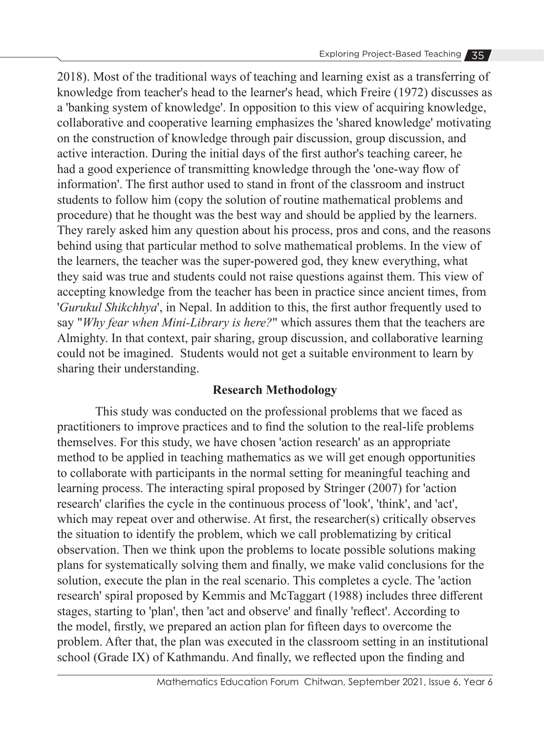2018). Most of the traditional ways of teaching and learning exist as a transferring of knowledge from teacher's head to the learner's head, which Freire (1972) discusses as a 'banking system of knowledge'. In opposition to this view of acquiring knowledge, collaborative and cooperative learning emphasizes the 'shared knowledge' motivating on the construction of knowledge through pair discussion, group discussion, and active interaction. During the initial days of the first author's teaching career, he had a good experience of transmitting knowledge through the 'one-way flow of information'. The first author used to stand in front of the classroom and instruct students to follow him (copy the solution of routine mathematical problems and procedure) that he thought was the best way and should be applied by the learners. They rarely asked him any question about his process, pros and cons, and the reasons behind using that particular method to solve mathematical problems. In the view of the learners, the teacher was the super-powered god, they knew everything, what they said was true and students could not raise questions against them. This view of accepting knowledge from the teacher has been in practice since ancient times, from '*Gurukul Shikchhya*', in Nepal. In addition to this, the first author frequently used to say "*Why fear when Mini-Library is here?*" which assures them that the teachers are Almighty. In that context, pair sharing, group discussion, and collaborative learning could not be imagined. Students would not get a suitable environment to learn by sharing their understanding.

# **Research Methodology**

This study was conducted on the professional problems that we faced as practitioners to improve practices and to find the solution to the real-life problems themselves. For this study, we have chosen 'action research' as an appropriate method to be applied in teaching mathematics as we will get enough opportunities to collaborate with participants in the normal setting for meaningful teaching and learning process. The interacting spiral proposed by Stringer (2007) for 'action research' clarifies the cycle in the continuous process of 'look', 'think', and 'act', which may repeat over and otherwise. At first, the researcher(s) critically observes the situation to identify the problem, which we call problematizing by critical observation. Then we think upon the problems to locate possible solutions making plans for systematically solving them and finally, we make valid conclusions for the solution, execute the plan in the real scenario. This completes a cycle. The 'action research' spiral proposed by Kemmis and McTaggart (1988) includes three different stages, starting to 'plan', then 'act and observe' and finally 'reflect'. According to the model, firstly, we prepared an action plan for fifteen days to overcome the problem. After that, the plan was executed in the classroom setting in an institutional school (Grade IX) of Kathmandu. And finally, we reflected upon the finding and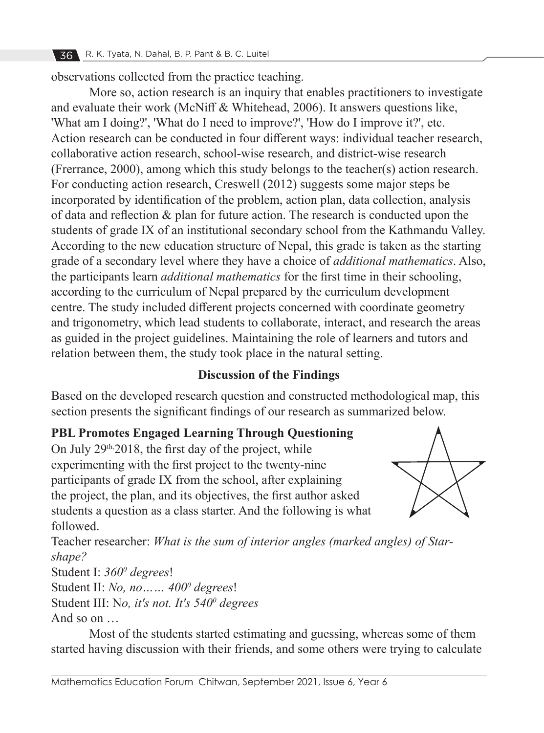observations collected from the practice teaching.

More so, action research is an inquiry that enables practitioners to investigate and evaluate their work (McNiff & Whitehead, 2006). It answers questions like, 'What am I doing?', 'What do I need to improve?', 'How do I improve it?', etc. Action research can be conducted in four different ways: individual teacher research, collaborative action research, school-wise research, and district-wise research (Frerrance, 2000), among which this study belongs to the teacher(s) action research. For conducting action research, Creswell (2012) suggests some major steps be incorporated by identification of the problem, action plan, data collection, analysis of data and reflection & plan for future action. The research is conducted upon the students of grade IX of an institutional secondary school from the Kathmandu Valley. According to the new education structure of Nepal, this grade is taken as the starting grade of a secondary level where they have a choice of *additional mathematics*. Also, the participants learn *additional mathematics* for the first time in their schooling, according to the curriculum of Nepal prepared by the curriculum development centre. The study included different projects concerned with coordinate geometry and trigonometry, which lead students to collaborate, interact, and research the areas as guided in the project guidelines. Maintaining the role of learners and tutors and relation between them, the study took place in the natural setting.

# **Discussion of the Findings**

Based on the developed research question and constructed methodological map, this section presents the significant findings of our research as summarized below.

# **PBL Promotes Engaged Learning Through Questioning**

On July  $29<sup>th</sup>$ , 2018, the first day of the project, while experimenting with the first project to the twenty-nine participants of grade IX from the school, after explaining the project, the plan, and its objectives, the first author asked students a question as a class starter. And the following is what followed.



Teacher researcher: *What is the sum of interior angles (marked angles) of Starshape?*

Student I: *3600 degrees*!

Student II: *No, no…… 400<sup>0</sup> degrees*!

Student III: N*o, it's not. It's 540<sup>0</sup> degrees*

And so on …

Most of the students started estimating and guessing, whereas some of them started having discussion with their friends, and some others were trying to calculate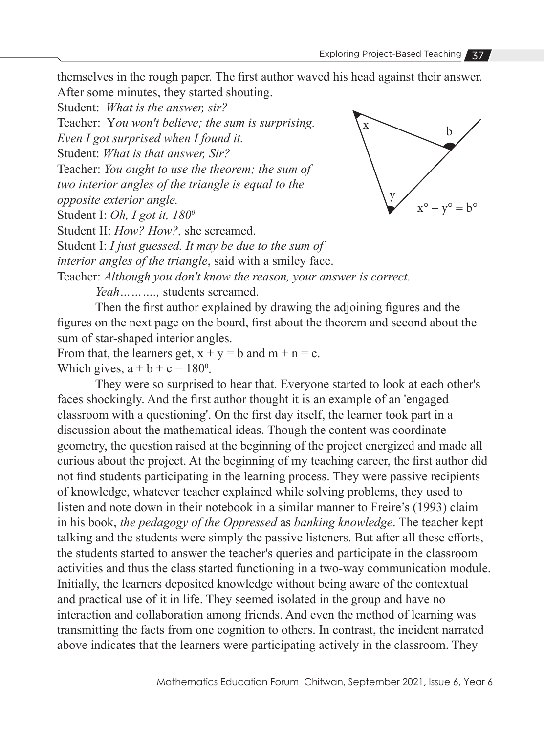themselves in the rough paper. The first author waved his head against their answer. After some minutes, they started shouting.

Student: *What is the answer, sir?*

Teacher: Y*ou won't believe; the sum is surprising.* 

*Even I got surprised when I found it.*

Student: *What is that answer, Sir?*

Teacher: *You ought to use the theorem; the sum of* 

*two interior angles of the triangle is equal to the* 

*opposite exterior angle.*

Student I: *Oh, I got it, 180<sup>0</sup>*

Student II: *How? How?,* she screamed.

Student I: *I just guessed. It may be due to the sum of* 

*interior angles of the triangle*, said with a smiley face.

Teacher: *Although you don't know the reason, your answer is correct.*

*Yeah……….,* students screamed.

Then the first author explained by drawing the adjoining figures and the figures on the next page on the board, first about the theorem and second about the sum of star-shaped interior angles.

From that, the learners get,  $x + y = b$  and  $m + n = c$ . Which gives,  $a + b + c = 180^\circ$ .

They were so surprised to hear that. Everyone started to look at each other's faces shockingly. And the first author thought it is an example of an 'engaged classroom with a questioning'. On the first day itself, the learner took part in a discussion about the mathematical ideas. Though the content was coordinate geometry, the question raised at the beginning of the project energized and made all curious about the project. At the beginning of my teaching career, the first author did not find students participating in the learning process. They were passive recipients of knowledge, whatever teacher explained while solving problems, they used to listen and note down in their notebook in a similar manner to Freire's (1993) claim in his book, *the pedagogy of the Oppressed* as *banking knowledge*. The teacher kept talking and the students were simply the passive listeners. But after all these efforts, the students started to answer the teacher's queries and participate in the classroom activities and thus the class started functioning in a two-way communication module. Initially, the learners deposited knowledge without being aware of the contextual and practical use of it in life. They seemed isolated in the group and have no interaction and collaboration among friends. And even the method of learning was transmitting the facts from one cognition to others. In contrast, the incident narrated above indicates that the learners were participating actively in the classroom. They

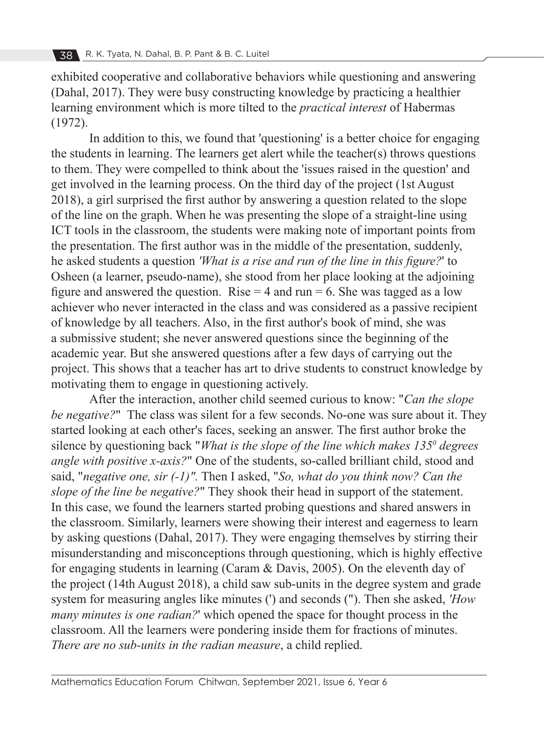exhibited cooperative and collaborative behaviors while questioning and answering (Dahal, 2017). They were busy constructing knowledge by practicing a healthier learning environment which is more tilted to the *practical interest* of Habermas (1972).

In addition to this, we found that 'questioning' is a better choice for engaging the students in learning. The learners get alert while the teacher(s) throws questions to them. They were compelled to think about the 'issues raised in the question' and get involved in the learning process. On the third day of the project (1st August 2018), a girl surprised the first author by answering a question related to the slope of the line on the graph. When he was presenting the slope of a straight-line using ICT tools in the classroom, the students were making note of important points from the presentation. The first author was in the middle of the presentation, suddenly, he asked students a question *'What is a rise and run of the line in this figure?*' to Osheen (a learner, pseudo-name), she stood from her place looking at the adjoining figure and answered the question. Rise  $= 4$  and run  $= 6$ . She was tagged as a low achiever who never interacted in the class and was considered as a passive recipient of knowledge by all teachers. Also, in the first author's book of mind, she was a submissive student; she never answered questions since the beginning of the academic year. But she answered questions after a few days of carrying out the project. This shows that a teacher has art to drive students to construct knowledge by motivating them to engage in questioning actively.

After the interaction, another child seemed curious to know: "*Can the slope be negative?*" The class was silent for a few seconds. No-one was sure about it. They started looking at each other's faces, seeking an answer. The first author broke the silence by questioning back "*What is the slope of the line which makes 135<sup>0</sup> degrees angle with positive x-axis?*" One of the students, so-called brilliant child, stood and said, "*negative one, sir (-1)".* Then I asked, "*So, what do you think now? Can the slope of the line be negative?*" They shook their head in support of the statement. In this case, we found the learners started probing questions and shared answers in the classroom. Similarly, learners were showing their interest and eagerness to learn by asking questions (Dahal, 2017). They were engaging themselves by stirring their misunderstanding and misconceptions through questioning, which is highly effective for engaging students in learning (Caram & Davis, 2005). On the eleventh day of the project (14th August 2018), a child saw sub-units in the degree system and grade system for measuring angles like minutes (') and seconds ("). Then she asked, *'How many minutes is one radian?*' which opened the space for thought process in the classroom. All the learners were pondering inside them for fractions of minutes. *There are no sub-units in the radian measure*, a child replied.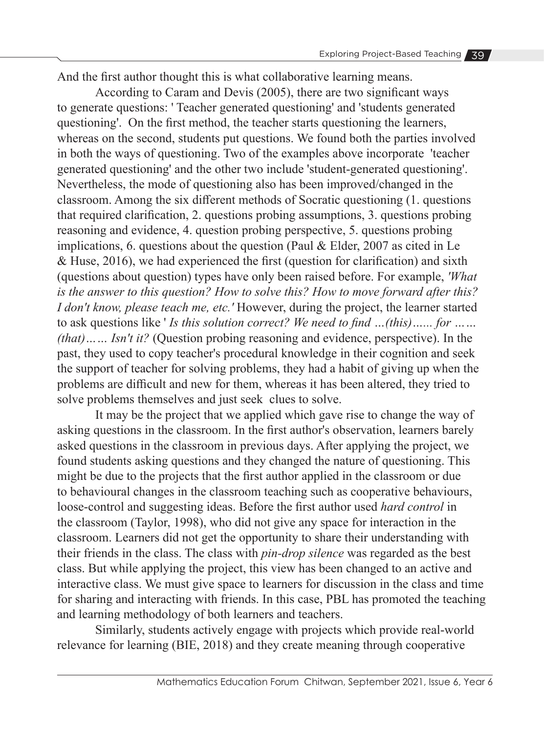And the first author thought this is what collaborative learning means.

According to Caram and Devis (2005), there are two significant ways to generate questions: ' Teacher generated questioning' and 'students generated questioning'. On the first method, the teacher starts questioning the learners, whereas on the second, students put questions. We found both the parties involved in both the ways of questioning. Two of the examples above incorporate 'teacher generated questioning' and the other two include 'student-generated questioning'. Nevertheless, the mode of questioning also has been improved/changed in the classroom. Among the six different methods of Socratic questioning (1. questions that required clarification, 2. questions probing assumptions, 3. questions probing reasoning and evidence, 4. question probing perspective, 5. questions probing implications, 6. questions about the question (Paul  $&$  Elder, 2007 as cited in Le & Huse, 2016), we had experienced the first (question for clarification) and sixth (questions about question) types have only been raised before. For example, *'What is the answer to this question? How to solve this? How to move forward after this? I don't know, please teach me, etc.'* However, during the project, the learner started to ask questions like ' *Is this solution correct? We need to find …(this)…... for …… (that)…… Isn't it?* (Question probing reasoning and evidence, perspective). In the past, they used to copy teacher's procedural knowledge in their cognition and seek the support of teacher for solving problems, they had a habit of giving up when the problems are difficult and new for them, whereas it has been altered, they tried to solve problems themselves and just seek clues to solve.

It may be the project that we applied which gave rise to change the way of asking questions in the classroom. In the first author's observation, learners barely asked questions in the classroom in previous days. After applying the project, we found students asking questions and they changed the nature of questioning. This might be due to the projects that the first author applied in the classroom or due to behavioural changes in the classroom teaching such as cooperative behaviours, loose-control and suggesting ideas. Before the first author used *hard control* in the classroom (Taylor, 1998), who did not give any space for interaction in the classroom. Learners did not get the opportunity to share their understanding with their friends in the class. The class with *pin-drop silence* was regarded as the best class. But while applying the project, this view has been changed to an active and interactive class. We must give space to learners for discussion in the class and time for sharing and interacting with friends. In this case, PBL has promoted the teaching and learning methodology of both learners and teachers.

Similarly, students actively engage with projects which provide real-world relevance for learning (BIE, 2018) and they create meaning through cooperative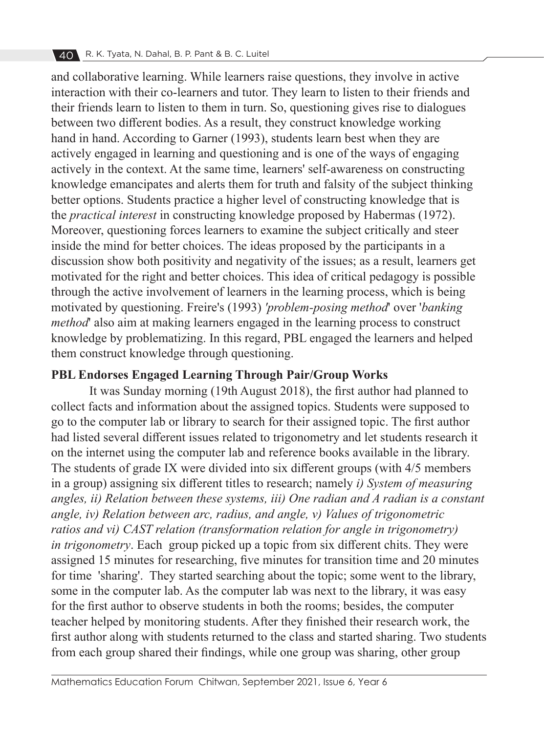and collaborative learning. While learners raise questions, they involve in active interaction with their co-learners and tutor. They learn to listen to their friends and their friends learn to listen to them in turn. So, questioning gives rise to dialogues between two different bodies. As a result, they construct knowledge working hand in hand. According to Garner (1993), students learn best when they are actively engaged in learning and questioning and is one of the ways of engaging actively in the context. At the same time, learners' self-awareness on constructing knowledge emancipates and alerts them for truth and falsity of the subject thinking better options. Students practice a higher level of constructing knowledge that is the *practical interest* in constructing knowledge proposed by Habermas (1972). Moreover, questioning forces learners to examine the subject critically and steer inside the mind for better choices. The ideas proposed by the participants in a discussion show both positivity and negativity of the issues; as a result, learners get motivated for the right and better choices. This idea of critical pedagogy is possible through the active involvement of learners in the learning process, which is being motivated by questioning. Freire's (1993) *'problem-posing method*' over '*banking method*' also aim at making learners engaged in the learning process to construct knowledge by problematizing. In this regard, PBL engaged the learners and helped them construct knowledge through questioning.

## **PBL Endorses Engaged Learning Through Pair/Group Works**

It was Sunday morning (19th August 2018), the first author had planned to collect facts and information about the assigned topics. Students were supposed to go to the computer lab or library to search for their assigned topic. The first author had listed several different issues related to trigonometry and let students research it on the internet using the computer lab and reference books available in the library. The students of grade IX were divided into six different groups (with 4/5 members in a group) assigning six different titles to research; namely *i) System of measuring angles, ii) Relation between these systems, iii) One radian and A radian is a constant angle, iv) Relation between arc, radius, and angle, v) Values of trigonometric ratios and vi) CAST relation (transformation relation for angle in trigonometry) in trigonometry*. Each group picked up a topic from six different chits. They were assigned 15 minutes for researching, five minutes for transition time and 20 minutes for time 'sharing'. They started searching about the topic; some went to the library, some in the computer lab. As the computer lab was next to the library, it was easy for the first author to observe students in both the rooms; besides, the computer teacher helped by monitoring students. After they finished their research work, the first author along with students returned to the class and started sharing. Two students from each group shared their findings, while one group was sharing, other group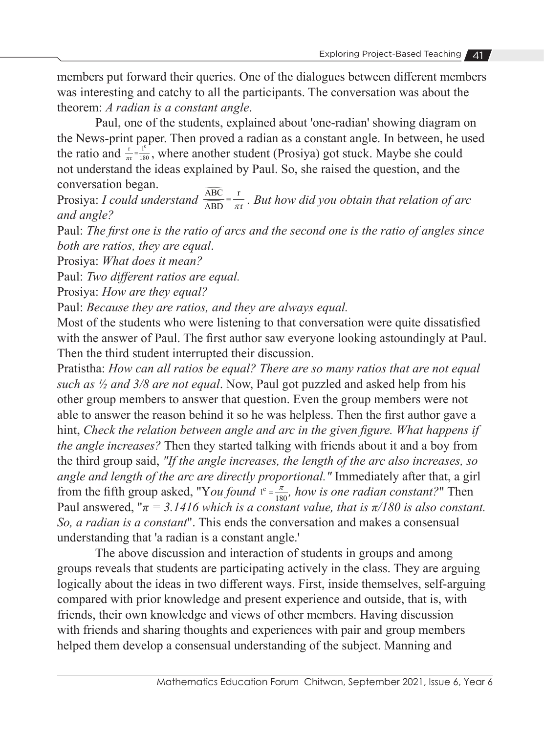members put forward their queries. One of the dialogues between different members was interesting and catchy to all the participants. The conversation was about the theorem: *A radian is a constant angle*.

Paul, one of the students, explained about 'one-radian' showing diagram on the News-print paper. Then proved a radian as a constant angle. In between, he used the ratio and  $\frac{r}{\pi r} = \frac{1}{180}$ , where another student (Prosiya) got stuck. Maybe she could not understand the ideas explained by Paul. So, she raised the question, and the conversation began. not understand the ideas explain<br>conversation began.<br>Prosiya: *I could understand*  $\frac{\overline{ABC}}{\overline{ABC}}$ 

ABC<br>ABC<br>ABD  $\frac{\text{ABC}}{\text{ABD}} = \frac{\text{r}}{\pi \text{r}}$ . But how did you obtain that relation of arc *and angle?*

Paul: *The first one is the ratio of arcs and the second one is the ratio of angles since both are ratios, they are equal*.

Prosiya: *What does it mean?*

Paul: *Two different ratios are equal.*

Prosiya: *How are they equal?*

Paul: *Because they are ratios, and they are always equal.*

Most of the students who were listening to that conversation were quite dissatisfied with the answer of Paul. The first author saw everyone looking astoundingly at Paul. Then the third student interrupted their discussion.

Pratistha: *How can all ratios be equal? There are so many ratios that are not equal such as ½ and 3/8 are not equal*. Now, Paul got puzzled and asked help from his other group members to answer that question. Even the group members were not able to answer the reason behind it so he was helpless. Then the first author gave a hint, *Check the relation between angle and arc in the given figure. What happens if the angle increases?* Then they started talking with friends about it and a boy from the third group said, *"If the angle increases, the length of the arc also increases, so angle and length of the arc are directly proportional."* Immediately after that, a girl from the fifth group asked, "You found  $I^c = \frac{\pi}{180}$ , how is one radian constant?" Then Paul answered, " $\pi = 3.1416$  which is a constant value, that is  $\pi/180$  is also constant. *So, a radian is a constant*". This ends the conversation and makes a consensual understanding that 'a radian is a constant angle.'

The above discussion and interaction of students in groups and among groups reveals that students are participating actively in the class. They are arguing logically about the ideas in two different ways. First, inside themselves, self-arguing compared with prior knowledge and present experience and outside, that is, with friends, their own knowledge and views of other members. Having discussion with friends and sharing thoughts and experiences with pair and group members helped them develop a consensual understanding of the subject. Manning and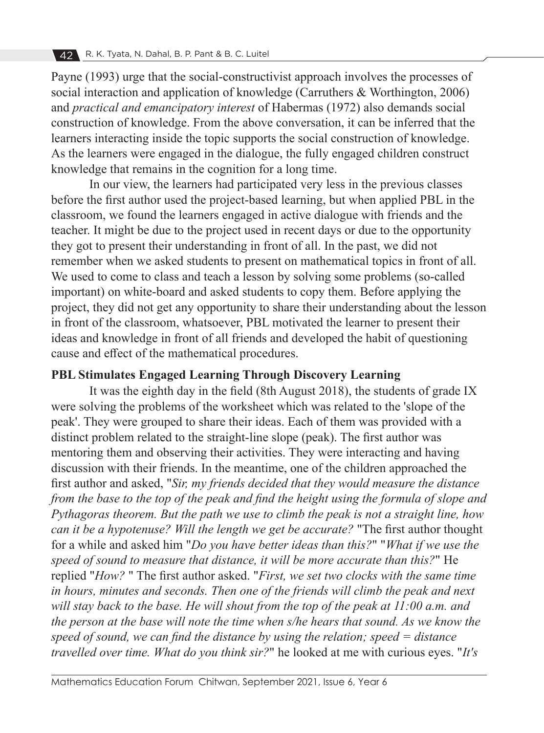Payne (1993) urge that the social-constructivist approach involves the processes of social interaction and application of knowledge (Carruthers & Worthington, 2006) and *practical and emancipatory interest* of Habermas (1972) also demands social construction of knowledge. From the above conversation, it can be inferred that the learners interacting inside the topic supports the social construction of knowledge. As the learners were engaged in the dialogue, the fully engaged children construct knowledge that remains in the cognition for a long time.

In our view, the learners had participated very less in the previous classes before the first author used the project-based learning, but when applied PBL in the classroom, we found the learners engaged in active dialogue with friends and the teacher. It might be due to the project used in recent days or due to the opportunity they got to present their understanding in front of all. In the past, we did not remember when we asked students to present on mathematical topics in front of all. We used to come to class and teach a lesson by solving some problems (so-called important) on white-board and asked students to copy them. Before applying the project, they did not get any opportunity to share their understanding about the lesson in front of the classroom, whatsoever, PBL motivated the learner to present their ideas and knowledge in front of all friends and developed the habit of questioning cause and effect of the mathematical procedures.

#### **PBL Stimulates Engaged Learning Through Discovery Learning**

It was the eighth day in the field (8th August 2018), the students of grade IX were solving the problems of the worksheet which was related to the 'slope of the peak'. They were grouped to share their ideas. Each of them was provided with a distinct problem related to the straight-line slope (peak). The first author was mentoring them and observing their activities. They were interacting and having discussion with their friends. In the meantime, one of the children approached the first author and asked, "*Sir, my friends decided that they would measure the distance from the base to the top of the peak and find the height using the formula of slope and Pythagoras theorem. But the path we use to climb the peak is not a straight line, how can it be a hypotenuse? Will the length we get be accurate?* "The first author thought for a while and asked him "*Do you have better ideas than this?*" "*What if we use the speed of sound to measure that distance, it will be more accurate than this?*" He replied "*How?* " The first author asked. "*First, we set two clocks with the same time in hours, minutes and seconds. Then one of the friends will climb the peak and next will stay back to the base. He will shout from the top of the peak at 11:00 a.m. and the person at the base will note the time when s/he hears that sound. As we know the speed of sound, we can find the distance by using the relation; speed = distance travelled over time. What do you think sir?*" he looked at me with curious eyes. "*It's*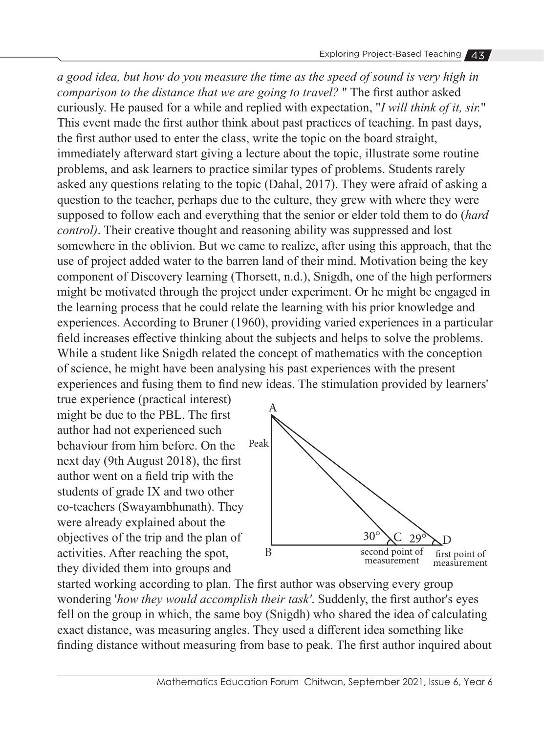*a good idea, but how do you measure the time as the speed of sound is very high in comparison to the distance that we are going to travel?* " The first author asked curiously. He paused for a while and replied with expectation, "*I will think of it, sir.*" This event made the first author think about past practices of teaching. In past days, the first author used to enter the class, write the topic on the board straight, immediately afterward start giving a lecture about the topic, illustrate some routine problems, and ask learners to practice similar types of problems. Students rarely asked any questions relating to the topic (Dahal, 2017). They were afraid of asking a question to the teacher, perhaps due to the culture, they grew with where they were supposed to follow each and everything that the senior or elder told them to do (*hard control)*. Their creative thought and reasoning ability was suppressed and lost somewhere in the oblivion. But we came to realize, after using this approach, that the use of project added water to the barren land of their mind. Motivation being the key component of Discovery learning (Thorsett, n.d.), Snigdh, one of the high performers might be motivated through the project under experiment. Or he might be engaged in the learning process that he could relate the learning with his prior knowledge and experiences. According to Bruner (1960), providing varied experiences in a particular field increases effective thinking about the subjects and helps to solve the problems. While a student like Snigdh related the concept of mathematics with the conception of science, he might have been analysing his past experiences with the present experiences and fusing them to find new ideas. The stimulation provided by learners'

true experience (practical interest) might be due to the PBL. The first author had not experienced such behaviour from him before. On the next day (9th August 2018), the first author went on a field trip with the students of grade IX and two other co-teachers (Swayambhunath). They were already explained about the objectives of the trip and the plan of activities. After reaching the spot, they divided them into groups and



started working according to plan. The first author was observing every group wondering '*how they would accomplish their task'*. Suddenly, the first author's eyes fell on the group in which, the same boy (Snigdh) who shared the idea of calculating exact distance, was measuring angles. They used a different idea something like finding distance without measuring from base to peak. The first author inquired about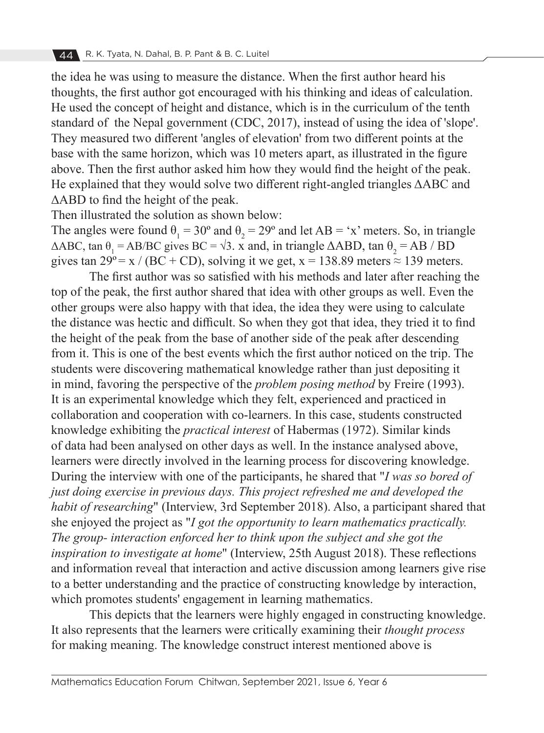the idea he was using to measure the distance. When the first author heard his thoughts, the first author got encouraged with his thinking and ideas of calculation. He used the concept of height and distance, which is in the curriculum of the tenth standard of the Nepal government (CDC, 2017), instead of using the idea of 'slope'. They measured two different 'angles of elevation' from two different points at the base with the same horizon, which was 10 meters apart, as illustrated in the figure above. Then the first author asked him how they would find the height of the peak. He explained that they would solve two different right-angled triangles ΔABC and ΔABD to find the height of the peak.

Then illustrated the solution as shown below:

The angles were found  $\theta_1 = 30^\circ$  and  $\theta_2 = 29^\circ$  and let AB = 'x' meters. So, in triangle  $\triangle ABC$ , tan  $\theta_1 = AB/BC$  gives BC =  $\sqrt{3}$ . x and, in triangle  $\triangle ABD$ , tan  $\theta_2 = AB / BD$ gives tan  $29^\circ = x / (BC + CD)$ , solving it we get,  $x = 138.89$  meters  $\approx 139$  meters.

The first author was so satisfied with his methods and later after reaching the top of the peak, the first author shared that idea with other groups as well. Even the other groups were also happy with that idea, the idea they were using to calculate the distance was hectic and difficult. So when they got that idea, they tried it to find the height of the peak from the base of another side of the peak after descending from it. This is one of the best events which the first author noticed on the trip. The students were discovering mathematical knowledge rather than just depositing it in mind, favoring the perspective of the *problem posing method* by Freire (1993). It is an experimental knowledge which they felt, experienced and practiced in collaboration and cooperation with co-learners. In this case, students constructed knowledge exhibiting the *practical interest* of Habermas (1972). Similar kinds of data had been analysed on other days as well. In the instance analysed above, learners were directly involved in the learning process for discovering knowledge. During the interview with one of the participants, he shared that "*I was so bored of just doing exercise in previous days. This project refreshed me and developed the habit of researching*" (Interview, 3rd September 2018). Also, a participant shared that she enjoyed the project as "*I got the opportunity to learn mathematics practically. The group- interaction enforced her to think upon the subject and she got the inspiration to investigate at home*" (Interview, 25th August 2018). These reflections and information reveal that interaction and active discussion among learners give rise to a better understanding and the practice of constructing knowledge by interaction, which promotes students' engagement in learning mathematics.

This depicts that the learners were highly engaged in constructing knowledge. It also represents that the learners were critically examining their *thought process* for making meaning. The knowledge construct interest mentioned above is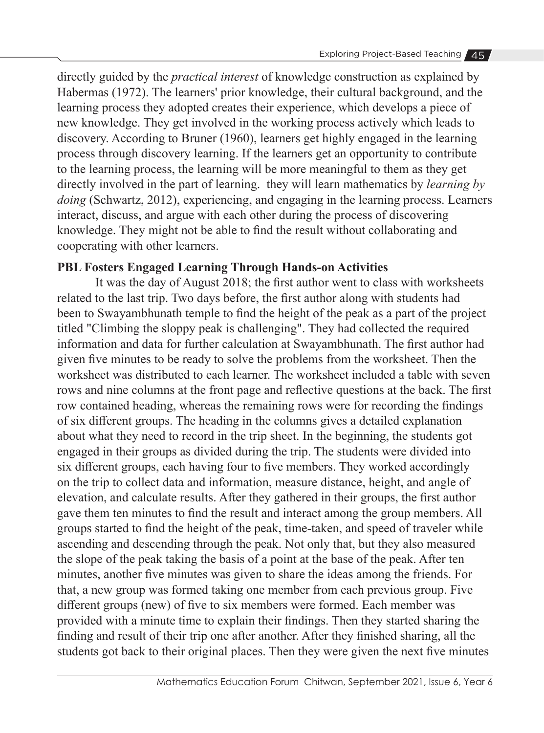directly guided by the *practical interest* of knowledge construction as explained by Habermas (1972). The learners' prior knowledge, their cultural background, and the learning process they adopted creates their experience, which develops a piece of new knowledge. They get involved in the working process actively which leads to discovery. According to Bruner (1960), learners get highly engaged in the learning process through discovery learning. If the learners get an opportunity to contribute to the learning process, the learning will be more meaningful to them as they get directly involved in the part of learning. they will learn mathematics by *learning by doing* (Schwartz, 2012), experiencing, and engaging in the learning process. Learners interact, discuss, and argue with each other during the process of discovering knowledge. They might not be able to find the result without collaborating and cooperating with other learners.

# **PBL Fosters Engaged Learning Through Hands-on Activities**

It was the day of August 2018; the first author went to class with worksheets related to the last trip. Two days before, the first author along with students had been to Swayambhunath temple to find the height of the peak as a part of the project titled "Climbing the sloppy peak is challenging". They had collected the required information and data for further calculation at Swayambhunath. The first author had given five minutes to be ready to solve the problems from the worksheet. Then the worksheet was distributed to each learner. The worksheet included a table with seven rows and nine columns at the front page and reflective questions at the back. The first row contained heading, whereas the remaining rows were for recording the findings of six different groups. The heading in the columns gives a detailed explanation about what they need to record in the trip sheet. In the beginning, the students got engaged in their groups as divided during the trip. The students were divided into six different groups, each having four to five members. They worked accordingly on the trip to collect data and information, measure distance, height, and angle of elevation, and calculate results. After they gathered in their groups, the first author gave them ten minutes to find the result and interact among the group members. All groups started to find the height of the peak, time-taken, and speed of traveler while ascending and descending through the peak. Not only that, but they also measured the slope of the peak taking the basis of a point at the base of the peak. After ten minutes, another five minutes was given to share the ideas among the friends. For that, a new group was formed taking one member from each previous group. Five different groups (new) of five to six members were formed. Each member was provided with a minute time to explain their findings. Then they started sharing the finding and result of their trip one after another. After they finished sharing, all the students got back to their original places. Then they were given the next five minutes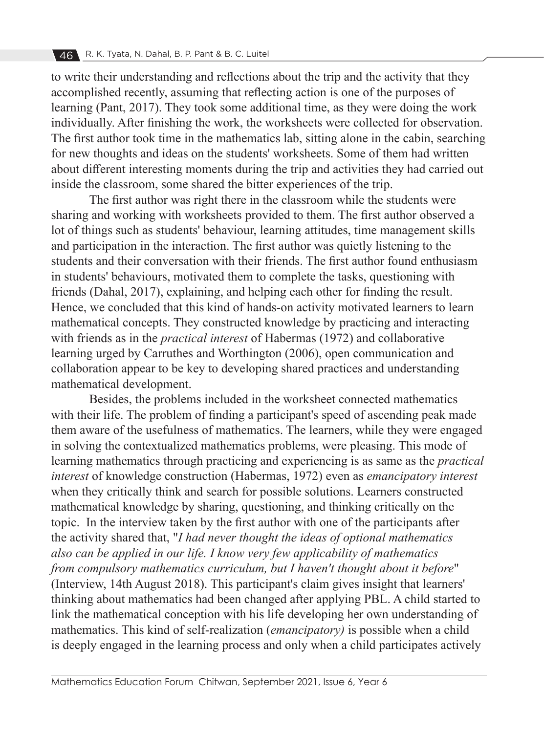to write their understanding and reflections about the trip and the activity that they accomplished recently, assuming that reflecting action is one of the purposes of learning (Pant, 2017). They took some additional time, as they were doing the work individually. After finishing the work, the worksheets were collected for observation. The first author took time in the mathematics lab, sitting alone in the cabin, searching for new thoughts and ideas on the students' worksheets. Some of them had written about different interesting moments during the trip and activities they had carried out inside the classroom, some shared the bitter experiences of the trip.

The first author was right there in the classroom while the students were sharing and working with worksheets provided to them. The first author observed a lot of things such as students' behaviour, learning attitudes, time management skills and participation in the interaction. The first author was quietly listening to the students and their conversation with their friends. The first author found enthusiasm in students' behaviours, motivated them to complete the tasks, questioning with friends (Dahal, 2017), explaining, and helping each other for finding the result. Hence, we concluded that this kind of hands-on activity motivated learners to learn mathematical concepts. They constructed knowledge by practicing and interacting with friends as in the *practical interest* of Habermas (1972) and collaborative learning urged by Carruthes and Worthington (2006), open communication and collaboration appear to be key to developing shared practices and understanding mathematical development.

Besides, the problems included in the worksheet connected mathematics with their life. The problem of finding a participant's speed of ascending peak made them aware of the usefulness of mathematics. The learners, while they were engaged in solving the contextualized mathematics problems, were pleasing. This mode of learning mathematics through practicing and experiencing is as same as the *practical interest* of knowledge construction (Habermas, 1972) even as *emancipatory interest* when they critically think and search for possible solutions. Learners constructed mathematical knowledge by sharing, questioning, and thinking critically on the topic. In the interview taken by the first author with one of the participants after the activity shared that, "*I had never thought the ideas of optional mathematics also can be applied in our life. I know very few applicability of mathematics from compulsory mathematics curriculum, but I haven't thought about it before*" (Interview, 14th August 2018). This participant's claim gives insight that learners' thinking about mathematics had been changed after applying PBL. A child started to link the mathematical conception with his life developing her own understanding of mathematics. This kind of self-realization (*emancipatory)* is possible when a child is deeply engaged in the learning process and only when a child participates actively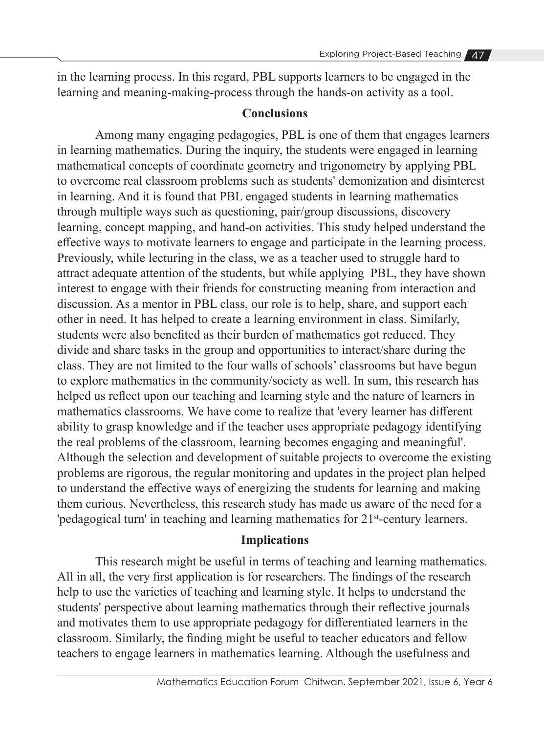in the learning process. In this regard, PBL supports learners to be engaged in the learning and meaning-making-process through the hands-on activity as a tool.

### **Conclusions**

Among many engaging pedagogies, PBL is one of them that engages learners in learning mathematics. During the inquiry, the students were engaged in learning mathematical concepts of coordinate geometry and trigonometry by applying PBL to overcome real classroom problems such as students' demonization and disinterest in learning. And it is found that PBL engaged students in learning mathematics through multiple ways such as questioning, pair/group discussions, discovery learning, concept mapping, and hand-on activities. This study helped understand the effective ways to motivate learners to engage and participate in the learning process. Previously, while lecturing in the class, we as a teacher used to struggle hard to attract adequate attention of the students, but while applying PBL, they have shown interest to engage with their friends for constructing meaning from interaction and discussion. As a mentor in PBL class, our role is to help, share, and support each other in need. It has helped to create a learning environment in class. Similarly, students were also benefited as their burden of mathematics got reduced. They divide and share tasks in the group and opportunities to interact/share during the class. They are not limited to the four walls of schools' classrooms but have begun to explore mathematics in the community/society as well. In sum, this research has helped us reflect upon our teaching and learning style and the nature of learners in mathematics classrooms. We have come to realize that 'every learner has different ability to grasp knowledge and if the teacher uses appropriate pedagogy identifying the real problems of the classroom, learning becomes engaging and meaningful'. Although the selection and development of suitable projects to overcome the existing problems are rigorous, the regular monitoring and updates in the project plan helped to understand the effective ways of energizing the students for learning and making them curious. Nevertheless, this research study has made us aware of the need for a 'pedagogical turn' in teaching and learning mathematics for 21<sup>st</sup>-century learners.

### **Implications**

This research might be useful in terms of teaching and learning mathematics. All in all, the very first application is for researchers. The findings of the research help to use the varieties of teaching and learning style. It helps to understand the students' perspective about learning mathematics through their reflective journals and motivates them to use appropriate pedagogy for differentiated learners in the classroom. Similarly, the finding might be useful to teacher educators and fellow teachers to engage learners in mathematics learning. Although the usefulness and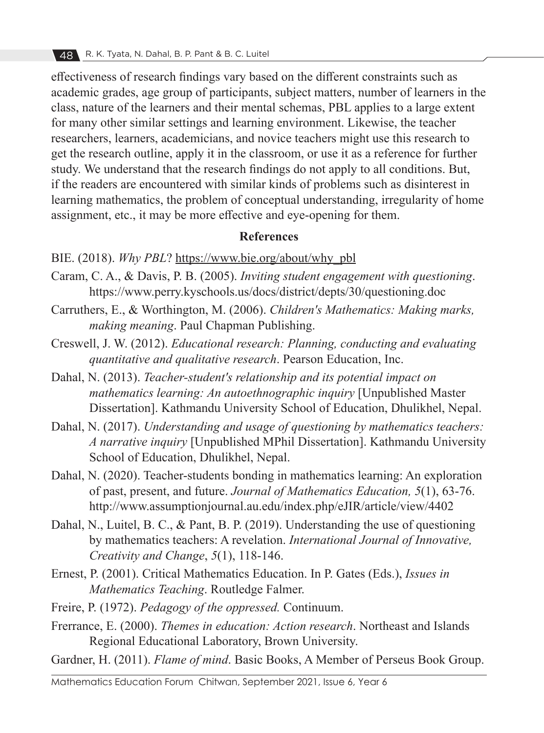effectiveness of research findings vary based on the different constraints such as academic grades, age group of participants, subject matters, number of learners in the class, nature of the learners and their mental schemas, PBL applies to a large extent for many other similar settings and learning environment. Likewise, the teacher researchers, learners, academicians, and novice teachers might use this research to get the research outline, apply it in the classroom, or use it as a reference for further study. We understand that the research findings do not apply to all conditions. But, if the readers are encountered with similar kinds of problems such as disinterest in learning mathematics, the problem of conceptual understanding, irregularity of home assignment, etc., it may be more effective and eye-opening for them.

### **References**

- BIE. (2018). *Why PBL*? https://www.bie.org/about/why\_pbl
- Caram, C. A., & Davis, P. B. (2005). *Inviting student engagement with questioning*. https://www.perry.kyschools.us/docs/district/depts/30/questioning.doc
- Carruthers, E., & Worthington, M. (2006). *Children's Mathematics: Making marks, making meaning*. Paul Chapman Publishing.
- Creswell, J. W. (2012). *Educational research: Planning, conducting and evaluating quantitative and qualitative research*. Pearson Education, Inc.
- Dahal, N. (2013). *Teacher-student's relationship and its potential impact on mathematics learning: An autoethnographic inquiry* [Unpublished Master Dissertation]. Kathmandu University School of Education, Dhulikhel, Nepal.
- Dahal, N. (2017). *Understanding and usage of questioning by mathematics teachers: A narrative inquiry* [Unpublished MPhil Dissertation]. Kathmandu University School of Education, Dhulikhel, Nepal.
- Dahal, N. (2020). Teacher-students bonding in mathematics learning: An exploration of past, present, and future. *Journal of Mathematics Education, 5*(1), 63-76. http://www.assumptionjournal.au.edu/index.php/eJIR/article/view/4402
- Dahal, N., Luitel, B. C., & Pant, B. P. (2019). Understanding the use of questioning by mathematics teachers: A revelation. *International Journal of Innovative, Creativity and Change*, *5*(1), 118-146.
- Ernest, P. (2001). Critical Mathematics Education. In P. Gates (Eds.), *Issues in Mathematics Teaching*. Routledge Falmer.
- Freire, P. (1972). *Pedagogy of the oppressed.* Continuum.
- Frerrance, E. (2000). *Themes in education: Action research*. Northeast and Islands Regional Educational Laboratory, Brown University.

Gardner, H. (2011). *Flame of mind*. Basic Books, A Member of Perseus Book Group.